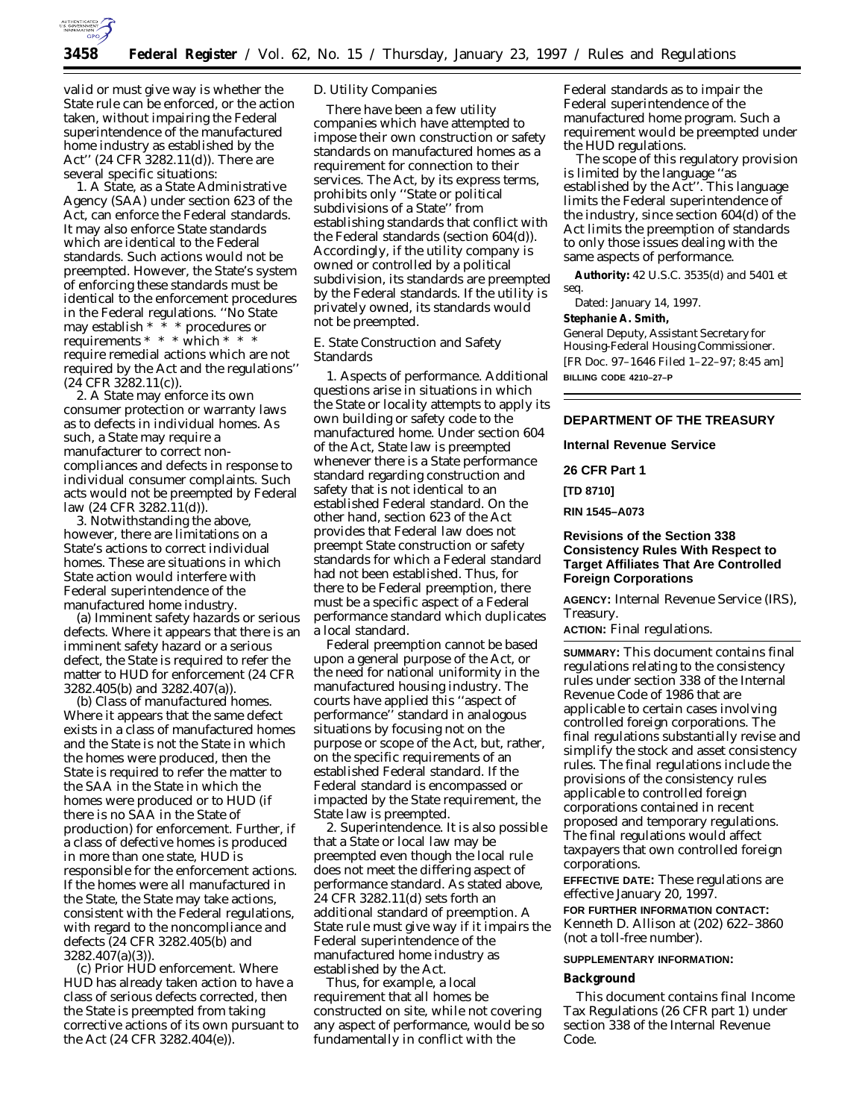

valid or must give way is whether the State rule can be enforced, or the action taken, without impairing the Federal superintendence of the manufactured home industry as established by the Act'' (24 CFR 3282.11(d)). There are several specific situations:

1. A State, as a State Administrative Agency (SAA) under section 623 of the Act, can enforce the Federal standards. It may also enforce State standards which are identical to the Federal standards. Such actions would not be preempted. However, the State's system of enforcing these standards must be identical to the enforcement procedures in the Federal regulations. ''No State may establish \* \* \* procedures or requirements \* \* \* which \* \* \* require remedial actions which are not required by the Act and the regulations'' (24 CFR 3282.11(c)).

2. A State may enforce its own consumer protection or warranty laws as to defects in individual homes. As such, a State may require a manufacturer to correct noncompliances and defects in response to individual consumer complaints. Such acts would not be preempted by Federal law (24 CFR 3282.11(d)).

3. Notwithstanding the above, however, there are limitations on a State's actions to correct individual homes. These are situations in which State action would interfere with Federal superintendence of the manufactured home industry.

(a) *Imminent safety hazards or serious defects*. Where it appears that there is an imminent safety hazard or a serious defect, the State is required to refer the matter to HUD for enforcement (24 CFR 3282.405(b) and 3282.407(a)).

(b) *Class of manufactured homes*. Where it appears that the same defect exists in a class of manufactured homes and the State is *not* the State in which the homes were produced, then the State is required to refer the matter to the SAA in the State in which the homes were produced or to HUD (if there is no SAA in the State of production) for enforcement. Further, if a class of defective homes is produced in more than one state, HUD is responsible for the enforcement actions. If the homes were all manufactured in the State, the State may take actions, consistent with the Federal regulations, with regard to the noncompliance and defects (24 CFR 3282.405(b) and 3282.407(a)(3)).

(c) *Prior HUD enforcement*. Where HUD has already taken action to have a class of serious defects corrected, then the State is preempted from taking corrective actions of its own pursuant to the Act (24 CFR 3282.404(e)).

## D. Utility Companies

There have been a few utility companies which have attempted to impose their own construction or safety standards on manufactured homes as a requirement for connection to their services. The Act, by its express terms, prohibits only ''State or political subdivisions of a State'' from establishing standards that conflict with the Federal standards (section 604(d)). Accordingly, if the utility company is owned or controlled by a political subdivision, its standards are preempted by the Federal standards. If the utility is privately owned, its standards would not be preempted.

E. State Construction and Safety Standards

1. *Aspects of performance*. Additional questions arise in situations in which the State or locality attempts to apply its own building or safety code to the manufactured home. Under section 604 of the Act, State law is preempted whenever there is a State performance standard regarding construction and safety that is not identical to an established Federal standard. On the other hand, section 623 of the Act provides that Federal law does not preempt State construction or safety standards for which a Federal standard had not been established. Thus, for there to be Federal preemption, there must be a specific aspect of a Federal performance standard which duplicates a local standard.

Federal preemption cannot be based upon a general purpose of the Act, or the need for national uniformity in the manufactured housing industry. The courts have applied this ''aspect of performance'' standard in analogous situations by focusing not on the purpose or scope of the Act, but, rather, on the specific requirements of an established Federal standard. If the Federal standard is encompassed or impacted by the State requirement, the State law is preempted.

2. *Superintendence*. It is also possible that a State or local law may be preempted even though the local rule does not meet the differing aspect of performance standard. As stated above, 24 CFR 3282.11(d) sets forth an additional standard of preemption. A State rule must give way if it impairs the Federal superintendence of the manufactured home industry as established by the Act.

Thus, for example, a local requirement that all homes be constructed on site, while not covering any aspect of performance, would be so fundamentally in conflict with the

Federal standards as to impair the Federal superintendence of the manufactured home program. Such a requirement would be preempted under the HUD regulations.

The scope of this regulatory provision is limited by the language ''as established by the Act''. This language limits the Federal superintendence of the industry, since section 604(d) of the Act limits the preemption of standards to only those issues dealing with the same aspects of performance.

**Authority:** 42 U.S.C. 3535(d) and 5401 et seq.

Dated: January 14, 1997.

**Stephanie A. Smith,**

*General Deputy, Assistant Secretary for Housing-Federal Housing Commissioner.* [FR Doc. 97–1646 Filed 1–22–97; 8:45 am] **BILLING CODE 4210–27–P**

## **DEPARTMENT OF THE TREASURY**

**Internal Revenue Service**

**26 CFR Part 1**

**[TD 8710]**

**RIN 1545–A073**

# **Revisions of the Section 338 Consistency Rules With Respect to Target Affiliates That Are Controlled Foreign Corporations**

**AGENCY:** Internal Revenue Service (IRS), Treasury.

**ACTION:** Final regulations.

**SUMMARY:** This document contains final regulations relating to the consistency rules under section 338 of the Internal Revenue Code of 1986 that are applicable to certain cases involving controlled foreign corporations. The final regulations substantially revise and simplify the stock and asset consistency rules. The final regulations include the provisions of the consistency rules applicable to controlled foreign corporations contained in recent proposed and temporary regulations. The final regulations would affect taxpayers that own controlled foreign corporations.

**EFFECTIVE DATE:** These regulations are effective January 20, 1997. **FOR FURTHER INFORMATION CONTACT:** Kenneth D. Allison at (202) 622–3860 (not a toll-free number).

#### **SUPPLEMENTARY INFORMATION:**

#### **Background**

This document contains final Income Tax Regulations (26 CFR part 1) under section 338 of the Internal Revenue Code.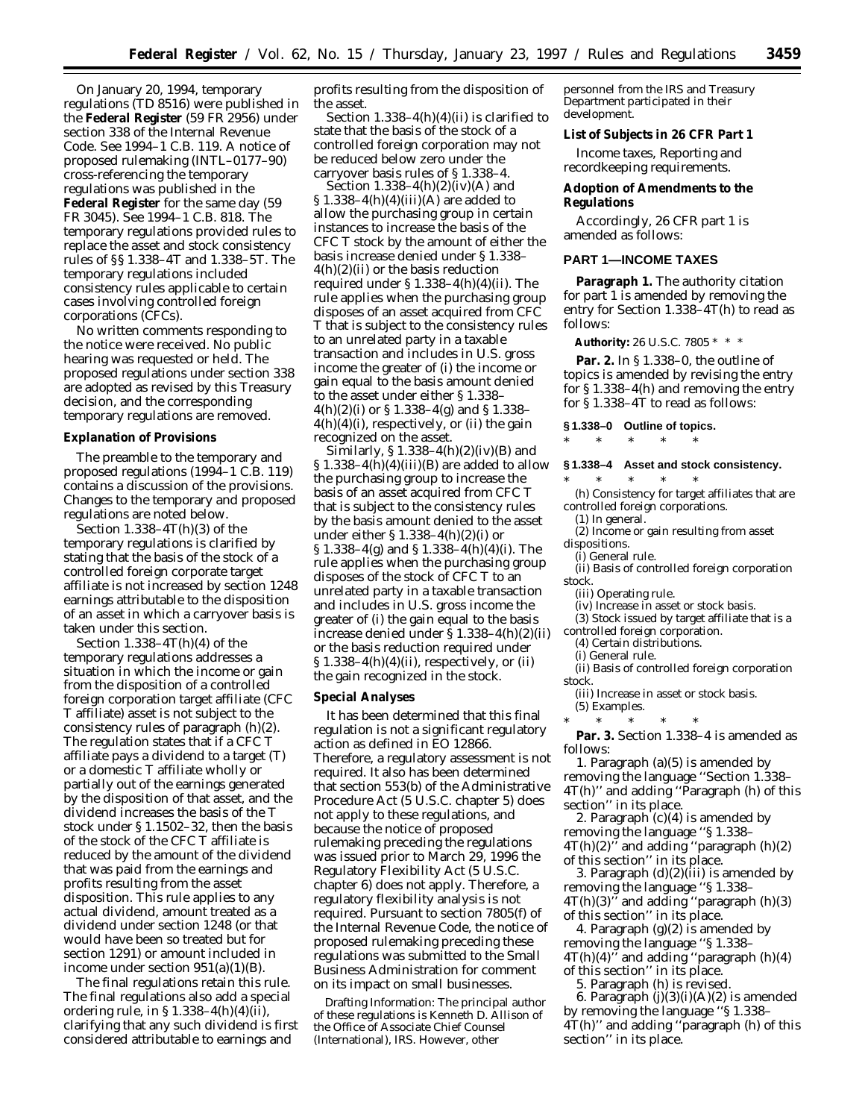On January 20, 1994, temporary regulations (TD 8516) were published in the **Federal Register** (59 FR 2956) under section 338 of the Internal Revenue Code. See 1994–1 C.B. 119. A notice of proposed rulemaking (INTL–0177–90) cross-referencing the temporary regulations was published in the **Federal Register** for the same day (59 FR 3045). See 1994–1 C.B. 818. The temporary regulations provided rules to replace the asset and stock consistency rules of §§ 1.338–4T and 1.338–5T. The temporary regulations included consistency rules applicable to certain cases involving controlled foreign corporations (CFCs).

No written comments responding to the notice were received. No public hearing was requested or held. The proposed regulations under section 338 are adopted as revised by this Treasury decision, and the corresponding temporary regulations are removed.

# **Explanation of Provisions**

The preamble to the temporary and proposed regulations (1994–1 C.B. 119) contains a discussion of the provisions. Changes to the temporary and proposed regulations are noted below.

Section 1.338–4T(h)(3) of the temporary regulations is clarified by stating that the basis of the stock of a controlled foreign corporate target affiliate is not increased by section 1248 earnings attributable to the disposition of an asset in which a carryover basis is taken under this section.

Section  $1.338-4T(h)(4)$  of the temporary regulations addresses a situation in which the income or gain from the disposition of a controlled foreign corporation target affiliate (CFC T affiliate) asset is not subject to the consistency rules of paragraph (h)(2). The regulation states that if a CFC T affiliate pays a dividend to a target (T) or a domestic T affiliate wholly or partially out of the earnings generated by the disposition of that asset, and the dividend increases the basis of the T stock under § 1.1502–32, then the basis of the stock of the CFC T affiliate is reduced by the amount of the dividend that was paid from the earnings and profits resulting from the asset disposition. This rule applies to any actual dividend, amount treated as a dividend under section 1248 (or that would have been so treated but for section 1291) or amount included in income under section  $951(a)(1)(B)$ .

The final regulations retain this rule. The final regulations also add a special ordering rule, in § 1.338–4(h)(4)(ii), clarifying that any such dividend is first considered attributable to earnings and

profits resulting from the disposition of the asset.

Section  $1.338-4(h)(4)(ii)$  is clarified to state that the basis of the stock of a controlled foreign corporation may not be reduced below zero under the carryover basis rules of § 1.338–4.

Section  $1.338-4(h)(2)(iv)(A)$  and  $$1.338-4(h)(4)(iii)(A)$  are added to allow the purchasing group in certain instances to increase the basis of the CFC T stock by the amount of either the basis increase denied under § 1.338–  $4(h)(2)(ii)$  or the basis reduction required under § 1.338–4(h)(4)(ii). The rule applies when the purchasing group disposes of an asset acquired from CFC T that is subject to the consistency rules to an unrelated party in a taxable transaction and includes in U.S. gross income the greater of (i) the income or gain equal to the basis amount denied to the asset under either § 1.338–  $4(h)(2)(i)$  or § 1.338–4(g) and § 1.338–  $4(h)(4)(i)$ , respectively, or (ii) the gain recognized on the asset.

Similarly,  $$ 1.338-4(h)(2)(iv)(B)$  and  $\S 1.338-4(h)(4)(iii)(B)$  are added to allow the purchasing group to increase the basis of an asset acquired from CFC T that is subject to the consistency rules by the basis amount denied to the asset under either § 1.338–4(h)(2)(i) or § 1.338–4(g) and § 1.338–4(h)(4)(i). The rule applies when the purchasing group disposes of the stock of CFC T to an unrelated party in a taxable transaction and includes in U.S. gross income the greater of (i) the gain equal to the basis increase denied under § 1.338–4(h)(2)(ii) or the basis reduction required under  $\S 1.338-4(h)(4)(ii)$ , respectively, or (ii) the gain recognized in the stock.

#### **Special Analyses**

It has been determined that this final regulation is not a significant regulatory action as defined in EO 12866. Therefore, a regulatory assessment is not required. It also has been determined that section 553(b) of the Administrative Procedure Act (5 U.S.C. chapter 5) does not apply to these regulations, and because the notice of proposed rulemaking preceding the regulations was issued prior to March 29, 1996 the Regulatory Flexibility Act (5 U.S.C. chapter 6) does not apply. Therefore, a regulatory flexibility analysis is not required. Pursuant to section 7805(f) of the Internal Revenue Code, the notice of proposed rulemaking preceding these regulations was submitted to the Small Business Administration for comment on its impact on small businesses.

Drafting Information: The principal author of these regulations is Kenneth D. Allison of the Office of Associate Chief Counsel (International), IRS. However, other

personnel from the IRS and Treasury Department participated in their development.

**List of Subjects in 26 CFR Part 1**

Income taxes, Reporting and recordkeeping requirements.

**Adoption of Amendments to the Regulations**

Accordingly, 26 CFR part 1 is amended as follows:

#### **PART 1—INCOME TAXES**

**Paragraph 1.** The authority citation for part 1 is amended by removing the entry for Section 1.338–4T(h) to read as follows:

**Authority:** 26 U.S.C. 7805 \* \* \*

**Par. 2.** In § 1.338–0, the outline of topics is amended by revising the entry for § 1.338–4(h) and removing the entry for § 1.338–4T to read as follows:

# **§ 1.338–0 Outline of topics.** \* \* \* \* \*

#### **§ 1.338–4 Asset and stock consistency.**

\* \* \* \* \* (h) Consistency for target affiliates that are controlled foreign corporations.

(1) In general. (2) Income or gain resulting from asset

dispositions. (i) General rule.

(ii) Basis of controlled foreign corporation stock.

(iii) Operating rule.

(iv) Increase in asset or stock basis.

(3) Stock issued by target affiliate that is a

controlled foreign corporation.

(4) Certain distributions.

(i) General rule.

(ii) Basis of controlled foreign corporation stock.

(iii) Increase in asset or stock basis. (5) Examples.

 $*$  \*

**Par. 3.** Section 1.338–4 is amended as follows:

1. Paragraph (a)(5) is amended by removing the language ''Section 1.338– 4T(h)'' and adding ''Paragraph (h) of this section'' in its place.

2. Paragraph (c)(4) is amended by removing the language ''§ 1.338–  $4T(h)(2)$ " and adding "paragraph  $(h)(2)$ of this section'' in its place.

3. Paragraph (d)(2)(iii) is amended by removing the language ''§ 1.338–  $4T(h)(3)$ <sup>7</sup> and adding "paragraph  $(h)(3)$ of this section'' in its place.

4. Paragraph (g)(2) is amended by removing the language ''§ 1.338–  $4T(h)(4)$ " and adding "paragraph  $(h)(4)$ of this section'' in its place.

5. Paragraph (h) is revised.

6. Paragraph (j)(3)(i)(A)(*2*) is amended by removing the language ''§ 1.338– 4T(h)'' and adding ''paragraph (h) of this section'' in its place.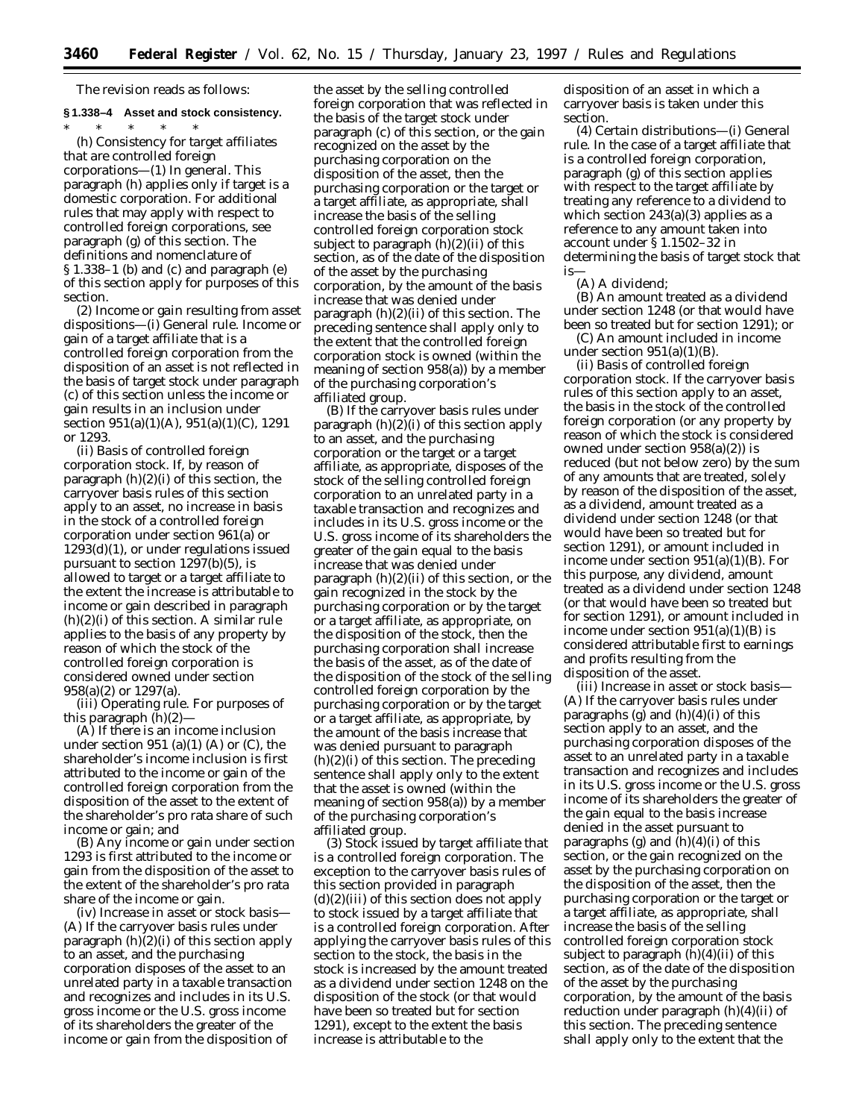The revision reads as follows:

\* \* \* \* \*

# **§ 1.338–4 Asset and stock consistency.**

(h) *Consistency for target affiliates that are controlled foreign corporations*—(1) *In general.* This paragraph (h) applies only if target is a domestic corporation. For additional rules that may apply with respect to controlled foreign corporations, see paragraph (g) of this section. The definitions and nomenclature of § 1.338–1 (b) and (c) and paragraph (e) of this section apply for purposes of this section.

(2) *Income or gain resulting from asset dispositions*—(i) *General rule.* Income or gain of a target affiliate that is a controlled foreign corporation from the disposition of an asset is not reflected in the basis of target stock under paragraph (c) of this section unless the income or gain results in an inclusion under section 951(a)(1)(A), 951(a)(1)(C), 1291 or 1293.

(ii) *Basis of controlled foreign corporation stock.* If, by reason of paragraph  $(h)(2)(i)$  of this section, the carryover basis rules of this section apply to an asset, no increase in basis in the stock of a controlled foreign corporation under section 961(a) or 1293(d)(1), or under regulations issued pursuant to section 1297(b)(5), is allowed to target or a target affiliate to the extent the increase is attributable to income or gain described in paragraph (h)(2)(i) of this section. A similar rule applies to the basis of any property by reason of which the stock of the controlled foreign corporation is considered owned under section 958(a)(2) or 1297(a).

(iii) *Operating rule.* For purposes of this paragraph (h)(2)—

(A) If there is an income inclusion under section  $951$  (a)(1) (A) or (C), the shareholder's income inclusion is first attributed to the income or gain of the controlled foreign corporation from the disposition of the asset to the extent of the shareholder's pro rata share of such income or gain; and

(B) Any income or gain under section 1293 is first attributed to the income or gain from the disposition of the asset to the extent of the shareholder's pro rata share of the income or gain.

(iv) *Increase in asset or stock basis*— (A) If the carryover basis rules under paragraph (h)(2)(i) of this section apply to an asset, and the purchasing corporation disposes of the asset to an unrelated party in a taxable transaction and recognizes and includes in its U.S. gross income or the U.S. gross income of its shareholders the greater of the income or gain from the disposition of

the asset by the selling controlled foreign corporation that was reflected in the basis of the target stock under paragraph (c) of this section, or the gain recognized on the asset by the purchasing corporation on the disposition of the asset, then the purchasing corporation or the target or a target affiliate, as appropriate, shall increase the basis of the selling controlled foreign corporation stock subject to paragraph (h)(2)(ii) of this section, as of the date of the disposition of the asset by the purchasing corporation, by the amount of the basis increase that was denied under paragraph (h)(2)(ii) of this section. The preceding sentence shall apply only to the extent that the controlled foreign corporation stock is owned (within the meaning of section 958(a)) by a member of the purchasing corporation's affiliated group.

(B) If the carryover basis rules under paragraph  $(h)(2)(i)$  of this section apply to an asset, and the purchasing corporation or the target or a target affiliate, as appropriate, disposes of the stock of the selling controlled foreign corporation to an unrelated party in a taxable transaction and recognizes and includes in its U.S. gross income or the U.S. gross income of its shareholders the greater of the gain equal to the basis increase that was denied under paragraph (h)(2)(ii) of this section, or the gain recognized in the stock by the purchasing corporation or by the target or a target affiliate, as appropriate, on the disposition of the stock, then the purchasing corporation shall increase the basis of the asset, as of the date of the disposition of the stock of the selling controlled foreign corporation by the purchasing corporation or by the target or a target affiliate, as appropriate, by the amount of the basis increase that was denied pursuant to paragraph  $(h)(2)(i)$  of this section. The preceding sentence shall apply only to the extent that the asset is owned (within the meaning of section 958(a)) by a member of the purchasing corporation's affiliated group.

(3) *Stock issued by target affiliate that is a controlled foreign corporation*. The exception to the carryover basis rules of this section provided in paragraph  $(d)(2)(iii)$  of this section does not apply to stock issued by a target affiliate that is a controlled foreign corporation. After applying the carryover basis rules of this section to the stock, the basis in the stock is increased by the amount treated as a dividend under section 1248 on the disposition of the stock (or that would have been so treated but for section 1291), except to the extent the basis increase is attributable to the

disposition of an asset in which a carryover basis is taken under this section.

(4) *Certain distributions*—(i) *General rule*. In the case of a target affiliate that is a controlled foreign corporation, paragraph (g) of this section applies with respect to the target affiliate by treating any reference to a dividend to which section  $243(a)(3)$  applies as a reference to any amount taken into account under § 1.1502–32 in determining the basis of target stock that is—

(A) A dividend;

(B) An amount treated as a dividend under section 1248 (or that would have been so treated but for section 1291); or

(C) An amount included in income under section  $951(a)(1)(B)$ .

(ii) *Basis of controlled foreign corporation stock*. If the carryover basis rules of this section apply to an asset, the basis in the stock of the controlled foreign corporation (or any property by reason of which the stock is considered owned under section 958(a)(2)) is reduced (but not below zero) by the sum of any amounts that are treated, solely by reason of the disposition of the asset, as a dividend, amount treated as a dividend under section 1248 (or that would have been so treated but for section 1291), or amount included in income under section 951(a)(1)(B). For this purpose, any dividend, amount treated as a dividend under section 1248 (or that would have been so treated but for section 1291), or amount included in income under section  $951(a)(1)(B)$  is considered attributable first to earnings and profits resulting from the disposition of the asset.

(iii) *Increase in asset or stock basis*— (A) If the carryover basis rules under paragraphs (g) and  $(h)(4)(i)$  of this section apply to an asset, and the purchasing corporation disposes of the asset to an unrelated party in a taxable transaction and recognizes and includes in its U.S. gross income or the U.S. gross income of its shareholders the greater of the gain equal to the basis increase denied in the asset pursuant to paragraphs (g) and  $(h)(4)(i)$  of this section, or the gain recognized on the asset by the purchasing corporation on the disposition of the asset, then the purchasing corporation or the target or a target affiliate, as appropriate, shall increase the basis of the selling controlled foreign corporation stock subject to paragraph  $(h)(4)(ii)$  of this section, as of the date of the disposition of the asset by the purchasing corporation, by the amount of the basis reduction under paragraph (h)(4)(ii) of this section. The preceding sentence shall apply only to the extent that the